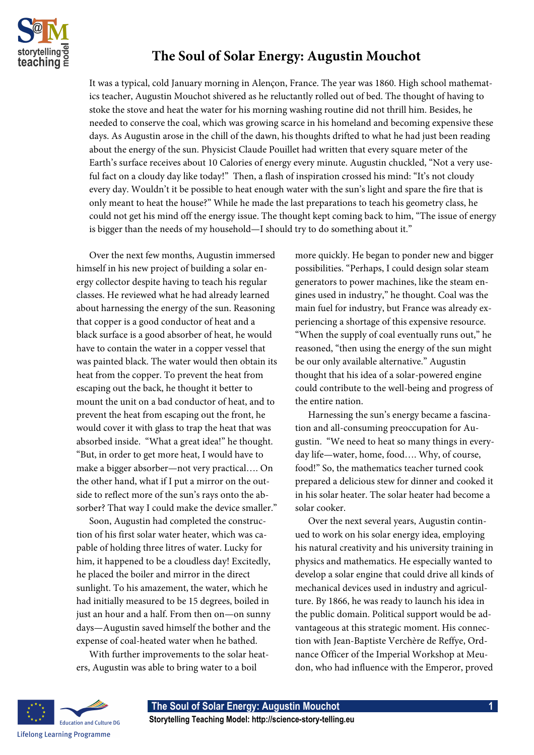

## **The Soul of Solar Energy: Augustin Mouchot**

It was a typical, cold January morning in Alençon, France. The year was 1860. High school mathematics teacher, Augustin Mouchot shivered as he reluctantly rolled out of bed. The thought of having to stoke the stove and heat the water for his morning washing routine did not thrill him. Besides, he needed to conserve the coal, which was growing scarce in his homeland and becoming expensive these days. As Augustin arose in the chill of the dawn, his thoughts drifted to what he had just been reading about the energy of the sun. Physicist Claude Pouillet had written that every square meter of the Earth's surface receives about 10 Calories of energy every minute. Augustin chuckled, "Not a very useful fact on a cloudy day like today!" Then, a flash of inspiration crossed his mind: "It's not cloudy every day. Wouldn't it be possible to heat enough water with the sun's light and spare the fire that is only meant to heat the house?" While he made the last preparations to teach his geometry class, he could not get his mind off the energy issue. The thought kept coming back to him, "The issue of energy is bigger than the needs of my household—I should try to do something about it."

Over the next few months, Augustin immersed himself in his new project of building a solar energy collector despite having to teach his regular classes. He reviewed what he had already learned about harnessing the energy of the sun. Reasoning that copper is a good conductor of heat and a black surface is a good absorber of heat, he would have to contain the water in a copper vessel that was painted black. The water would then obtain its heat from the copper. To prevent the heat from escaping out the back, he thought it better to mount the unit on a bad conductor of heat, and to prevent the heat from escaping out the front, he would cover it with glass to trap the heat that was absorbed inside. "What a great idea!" he thought. "But, in order to get more heat, I would have to make a bigger absorber—not very practical…. On the other hand, what if I put a mirror on the outside to reflect more of the sun's rays onto the absorber? That way I could make the device smaller."

Soon, Augustin had completed the construction of his first solar water heater, which was capable of holding three litres of water. Lucky for him, it happened to be a cloudless day! Excitedly, he placed the boiler and mirror in the direct sunlight. To his amazement, the water, which he had initially measured to be 15 degrees, boiled in just an hour and a half. From then on—on sunny days—Augustin saved himself the bother and the expense of coal-heated water when he bathed.

With further improvements to the solar heaters, Augustin was able to bring water to a boil

more quickly. He began to ponder new and bigger possibilities. "Perhaps, I could design solar steam generators to power machines, like the steam engines used in industry," he thought. Coal was the main fuel for industry, but France was already experiencing a shortage of this expensive resource. "When the supply of coal eventually runs out," he reasoned, "then using the energy of the sun might be our only available alternative." Augustin thought that his idea of a solar-powered engine could contribute to the well-being and progress of the entire nation.

Harnessing the sun's energy became a fascination and all-consuming preoccupation for Augustin. "We need to heat so many things in everyday life—water, home, food…. Why, of course, food!" So, the mathematics teacher turned cook prepared a delicious stew for dinner and cooked it in his solar heater. The solar heater had become a solar cooker.

Over the next several years, Augustin continued to work on his solar energy idea, employing his natural creativity and his university training in physics and mathematics. He especially wanted to develop a solar engine that could drive all kinds of mechanical devices used in industry and agriculture. By 1866, he was ready to launch his idea in the public domain. Political support would be advantageous at this strategic moment. His connection with Jean-Baptiste Verchère de Reffye, Ordnance Officer of the Imperial Workshop at Meudon, who had influence with the Emperor, proved

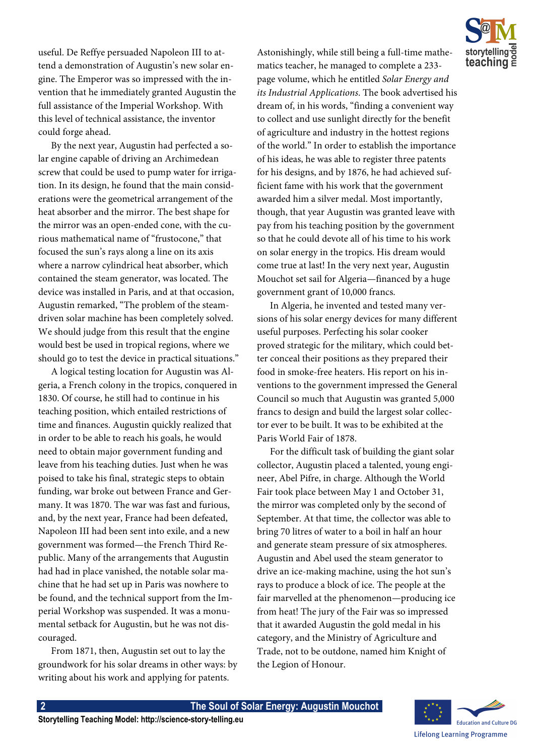

useful. De Reffye persuaded Napoleon III to attend a demonstration of Augustin's new solar engine. The Emperor was so impressed with the invention that he immediately granted Augustin the full assistance of the Imperial Workshop. With this level of technical assistance, the inventor could forge ahead.

By the next year, Augustin had perfected a solar engine capable of driving an Archimedean screw that could be used to pump water for irrigation. In its design, he found that the main considerations were the geometrical arrangement of the heat absorber and the mirror. The best shape for the mirror was an open-ended cone, with the curious mathematical name of "frustocone," that focused the sun's rays along a line on its axis where a narrow cylindrical heat absorber, which contained the steam generator, was located. The device was installed in Paris, and at that occasion, Augustin remarked, "The problem of the steamdriven solar machine has been completely solved. We should judge from this result that the engine would best be used in tropical regions, where we should go to test the device in practical situations."

A logical testing location for Augustin was Algeria, a French colony in the tropics, conquered in 1830. Of course, he still had to continue in his teaching position, which entailed restrictions of time and finances. Augustin quickly realized that in order to be able to reach his goals, he would need to obtain major government funding and leave from his teaching duties. Just when he was poised to take his final, strategic steps to obtain funding, war broke out between France and Germany. It was 1870. The war was fast and furious, and, by the next year, France had been defeated, Napoleon III had been sent into exile, and a new government was formed—the French Third Republic. Many of the arrangements that Augustin had had in place vanished, the notable solar machine that he had set up in Paris was nowhere to be found, and the technical support from the Imperial Workshop was suspended. It was a monumental setback for Augustin, but he was not discouraged.

From 1871, then, Augustin set out to lay the groundwork for his solar dreams in other ways: by writing about his work and applying for patents.

Astonishingly, while still being a full-time mathematics teacher, he managed to complete a 233 page volume, which he entitled *Solar Energy and its Industrial Applications*. The book advertised his dream of, in his words, "finding a convenient way to collect and use sunlight directly for the benefit of agriculture and industry in the hottest regions of the world." In order to establish the importance of his ideas, he was able to register three patents for his designs, and by 1876, he had achieved sufficient fame with his work that the government awarded him a silver medal. Most importantly, though, that year Augustin was granted leave with pay from his teaching position by the government so that he could devote all of his time to his work on solar energy in the tropics. His dream would come true at last! In the very next year, Augustin Mouchot set sail for Algeria—financed by a huge government grant of 10,000 francs.

In Algeria, he invented and tested many versions of his solar energy devices for many different useful purposes. Perfecting his solar cooker proved strategic for the military, which could better conceal their positions as they prepared their food in smoke-free heaters. His report on his inventions to the government impressed the General Council so much that Augustin was granted 5,000 francs to design and build the largest solar collector ever to be built. It was to be exhibited at the Paris World Fair of 1878.

For the difficult task of building the giant solar collector, Augustin placed a talented, young engineer, Abel Pifre, in charge. Although the World Fair took place between May 1 and October 31, the mirror was completed only by the second of September. At that time, the collector was able to bring 70 litres of water to a boil in half an hour and generate steam pressure of six atmospheres. Augustin and Abel used the steam generator to drive an ice-making machine, using the hot sun's rays to produce a block of ice. The people at the fair marvelled at the phenomenon—producing ice from heat! The jury of the Fair was so impressed that it awarded Augustin the gold medal in his category, and the Ministry of Agriculture and Trade, not to be outdone, named him Knight of the Legion of Honour.

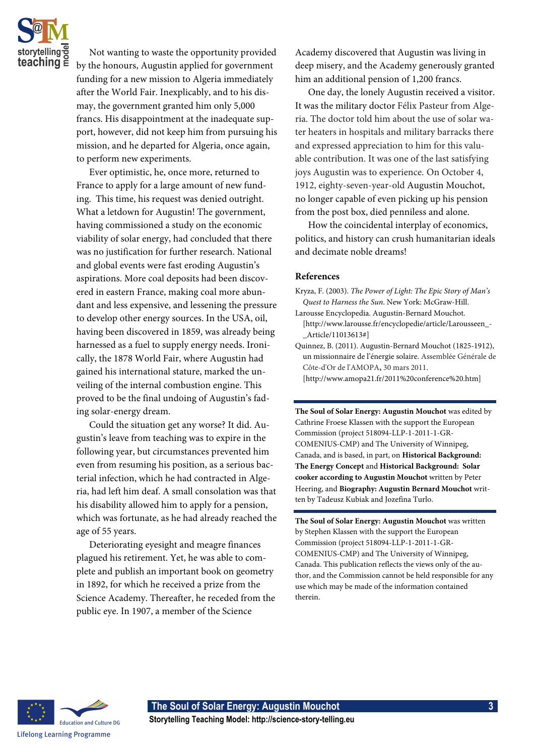

Not wanting to waste the opportunity provided by the honours, Augustin applied for government funding for a new mission to Algeria immediately after the World Fair. Inexplicably, and to his dismay, the government granted him only 5,000 francs. His disappointment at the inadequate support, however, did not keep him from pursuing his mission, and he departed for Algeria, once again, to perform new experiments.

Ever optimistic, he, once more, returned to France to apply for a large amount of new funding. This time, his request was denied outright. What a letdown for Augustin! The government, having commissioned a study on the economic viability of solar energy, had concluded that there was no justification for further research. National and global events were fast eroding Augustin's aspirations. More coal deposits had been discovered in eastern France, making coal more abundant and less expensive, and lessening the pressure to develop other energy sources. In the USA, oil, having been discovered in 1859, was already being harnessed as a fuel to supply energy needs. Ironically, the 1878 World Fair, where Augustin had gained his international stature, marked the unveiling of the internal combustion engine. This proved to be the final undoing of Augustin's fading solar-energy dream.

Could the situation get any worse? It did. Augustin's leave from teaching was to expire in the following year, but circumstances prevented him even from resuming his position, as a serious bacterial infection, which he had contracted in Algeria, had left him deaf. A small consolation was that his disability allowed him to apply for a pension, which was fortunate, as he had already reached the age of 55 years.

Deteriorating eyesight and meagre finances plagued his retirement. Yet, he was able to complete and publish an important book on geometry in 1892, for which he received a prize from the Science Academy. Thereafter, he receded from the public eye. In 1907, a member of the Science

Academy discovered that Augustin was living in deep misery, and the Academy generously granted him an additional pension of 1,200 francs.

One day, the lonely Augustin received a visitor. It was the military doctor Félix Pasteur from Algeria. The doctor told him about the use of solar water heaters in hospitals and military barracks there and expressed appreciation to him for this valuable contribution. It was one of the last satisfying joys Augustin was to experience. On October 4, 1912, eighty-seven-year-old Augustin Mouchot, no longer capable of even picking up his pension from the post box, died penniless and alone.

How the coincidental interplay of economics, politics, and history can crush humanitarian ideals and decimate noble dreams!

## **References**

- Kryza, F. (2003). *The Power of Light: The Epic Story of Man's Quest to Harness the Sun*. New York: McGraw-Hill.
- Larousse Encyclopedia. Augustin-Bernard Mouchot. [http://www.larousse.fr/encyclopedie/article/Larousseen\_- \_Article/11013613#]
- Quinnez, B. (2011). Augustin-Bernard Mouchot (1825-1912), un missionnaire de l'énergie solaire. Assemblée Générale de Côte-d'Or de l'AMOPA**,** 30 mars 2011. [http://www.amopa21.fr/2011%20conference%20.htm]

**The Soul of Solar Energy: Augustin Mouchot** was edited by Cathrine Froese Klassen with the support the European Commission (project 518094-LLP-1-2011-1-GR-COMENIUS-CMP) and The University of Winnipeg, Canada, and is based, in part, on **Historical Background: The Energy Concept** and **Historical Background: Solar cooker according to Augustin Mouchot** written by Peter Heering, and **Biography: Augustin Bernard Mouchot** written by Tadeusz Kubiak and Jozefina Turlo.

**The Soul of Solar Energy: Augustin Mouchot** was written by Stephen Klassen with the support the European Commission (project 518094-LLP-1-2011-1-GR-COMENIUS-CMP) and The University of Winnipeg, Canada. This publication reflects the views only of the author, and the Commission cannot be held responsible for any use which may be made of the information contained therein.